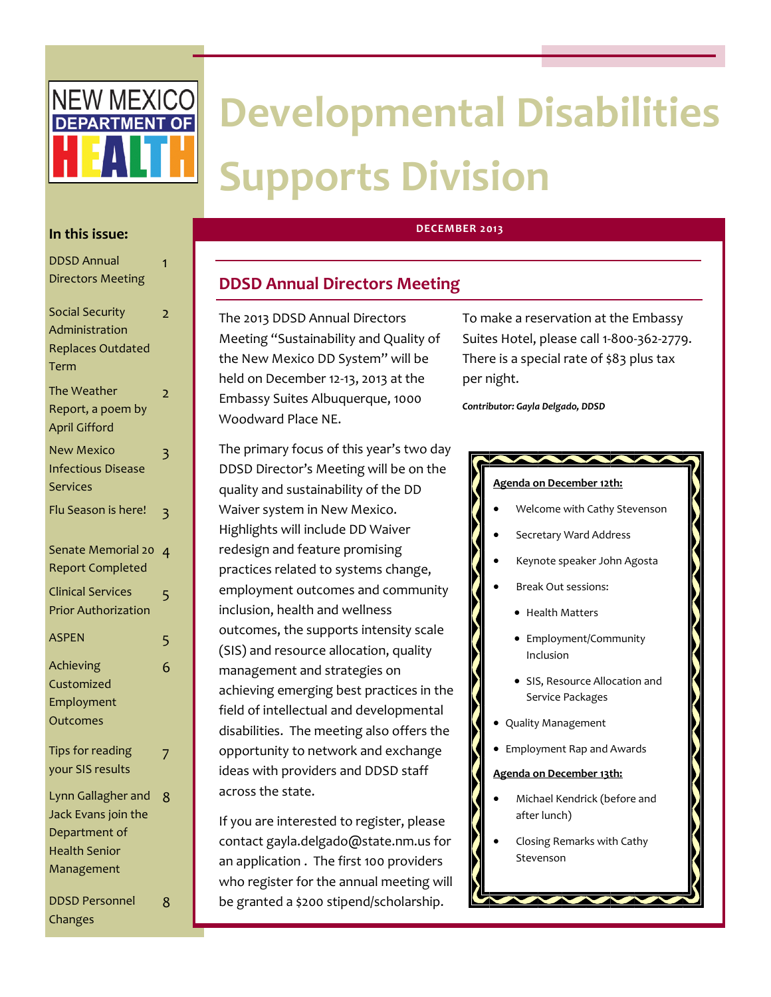

# **In this issue:**

| <b>DDSD Annual</b>         | 1              |
|----------------------------|----------------|
| <b>Directors Meeting</b>   |                |
| <b>Social Security</b>     | $\overline{2}$ |
| Administration             |                |
| <b>Replaces Outdated</b>   |                |
| Term                       |                |
| The Weather                | $\overline{2}$ |
| Report, a poem by          |                |
| <b>April Gifford</b>       |                |
| <b>New Mexico</b>          | 3              |
| <b>Infectious Disease</b>  |                |
| <b>Services</b>            |                |
| Flu Season is here!        | 3              |
|                            |                |
| Senate Memorial 20         | $\overline{4}$ |
| <b>Report Completed</b>    |                |
| <b>Clinical Services</b>   | 5              |
| <b>Prior Authorization</b> |                |
| <b>ASPEN</b>               | 5              |
| Achieving                  | 6              |
| Customized                 |                |
| Employment                 |                |
| Outcomes                   |                |
| Tips for reading           | 7              |
| your SIS results           |                |
| Lynn Gallagher and         | 8              |
| Jack Evans join the        |                |
| Department of              |                |
| <b>Health Senior</b>       |                |
| Management                 |                |
| <b>DDSD Personnel</b>      | 8              |
|                            |                |

Changes

# **DECEMBER 2013**

# **DDSD Annual Directors Meeting**

The 2013 DDSD Annual Directors Meeting "Sustainability and Quality of the New Mexico DD System" will be held on December 12-13, 2013 at the Embassy Suites Albuquerque, 1000 Woodward Place NE.

The primary focus of this year's two day DDSD Director's Meeting will be on the quality and sustainability of the DD Waiver system in New Mexico. Highlights will include DD Waiver redesign and feature promising practices related to systems change, employment outcomes and community inclusion, health and wellness outcomes, the supports intensity scale (SIS) and resource allocation, quality management and strategies on achieving emerging best practices in the field of intellectual and developmental disabilities. The meeting also offers the opportunity to network and exchange ideas with providers and DDSD staff across the state.

If you are interested to register, please contact gayla.delgado@state.nm.us for an application . The first 100 providers who register for the annual meeting will be granted a \$200 stipend/scholarship.

To make a reservation at the Embassy Suites Hotel, please call 1-800-362-2779. There is a special rate of \$83 plus tax per night.

*Contributor: Gayla Delgado, DDSD*

# **Agenda on December 12th:**

- Welcome with Cathy Stevenson
- Secretary Ward Address
- Keynote speaker John Agosta
- Break Out sessions:
	- **•** Health Matters
	- Employment/Community Inclusion
	- SIS, Resource Allocation and Service Packages
- Quality Management
- Employment Rap and Awards

### **Agenda on December 13th:**

- Michael Kendrick (before and after lunch)
- Closing Remarks with Cathy Stevenson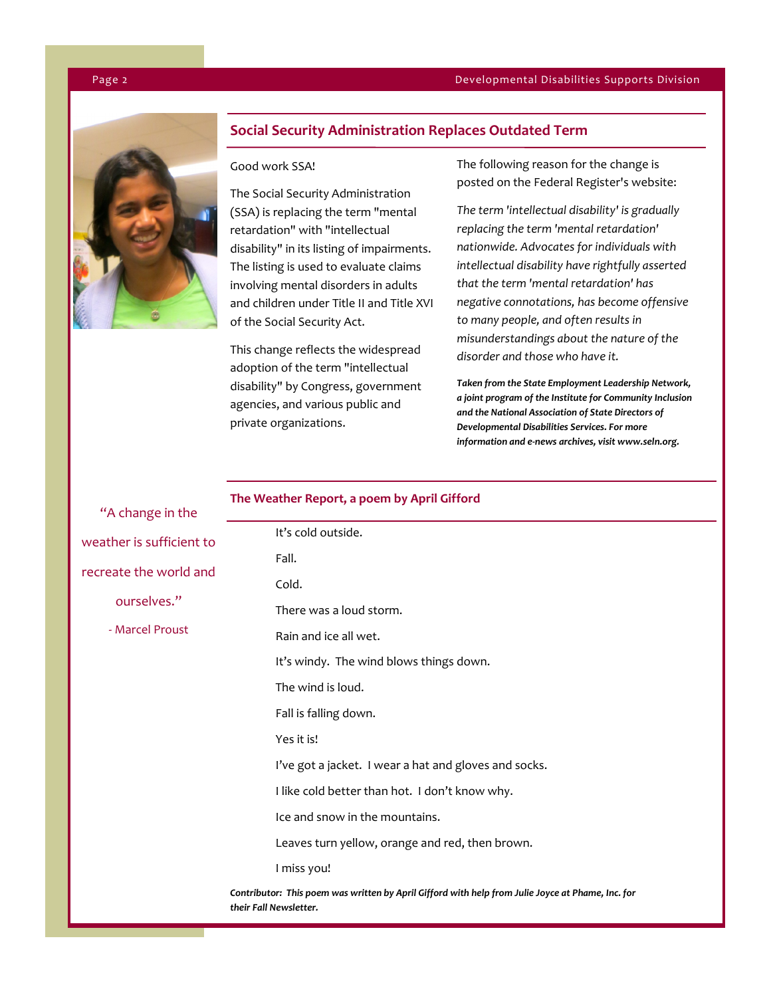### Page 2 Developmental Disabilities Supports Division



 $U_A$  change in the

# **Social Security Administration Replaces Outdated Term**

# Good work SSA!

The Social Security Administration (SSA) is replacing the term "mental retardation" with "intellectual disability" in its listing of impairments. The listing is used to evaluate claims involving mental disorders in adults and children under Title II and Title XVI of the Social Security Act.

This change reflects the widespread adoption of the term "intellectual disability" by Congress, government agencies, and various public and private organizations.

The following reason for the change is posted on the Federal Register's website:

*The term 'intellectual disability' is gradually replacing the term 'mental retardation' nationwide. Advocates for individuals with intellectual disability have rightfully asserted that the term 'mental retardation' has negative connotations, has become offensive to many people, and often results in misunderstandings about the nature of the disorder and those who have it.*

*Taken from the State Employment Leadership Network, a joint program of the Institute for Community Inclusion and the National Association of State Directors of Developmental Disabilities Services. For more information and e-news archives, visit www.seln.org.*

# **The Weather Report, a poem by April Gifford**

| A Change in the                                                                                                             |                                                       |  |
|-----------------------------------------------------------------------------------------------------------------------------|-------------------------------------------------------|--|
| weather is sufficient to<br>recreate the world and                                                                          | It's cold outside.                                    |  |
|                                                                                                                             | Fall.                                                 |  |
|                                                                                                                             | Cold.                                                 |  |
| ourselves."                                                                                                                 | There was a loud storm.                               |  |
| - Marcel Proust                                                                                                             | Rain and ice all wet.                                 |  |
|                                                                                                                             | It's windy. The wind blows things down.               |  |
|                                                                                                                             | The wind is loud.                                     |  |
|                                                                                                                             | Fall is falling down.                                 |  |
|                                                                                                                             | Yes it is!                                            |  |
|                                                                                                                             | I've got a jacket. I wear a hat and gloves and socks. |  |
|                                                                                                                             | I like cold better than hot. I don't know why.        |  |
|                                                                                                                             | Ice and snow in the mountains.                        |  |
|                                                                                                                             | Leaves turn yellow, orange and red, then brown.       |  |
|                                                                                                                             | I miss you!                                           |  |
| Contributor: This poem was written by April Gifford with help from Julie Joyce at Phame, Inc. for<br>their Fall Newsletter. |                                                       |  |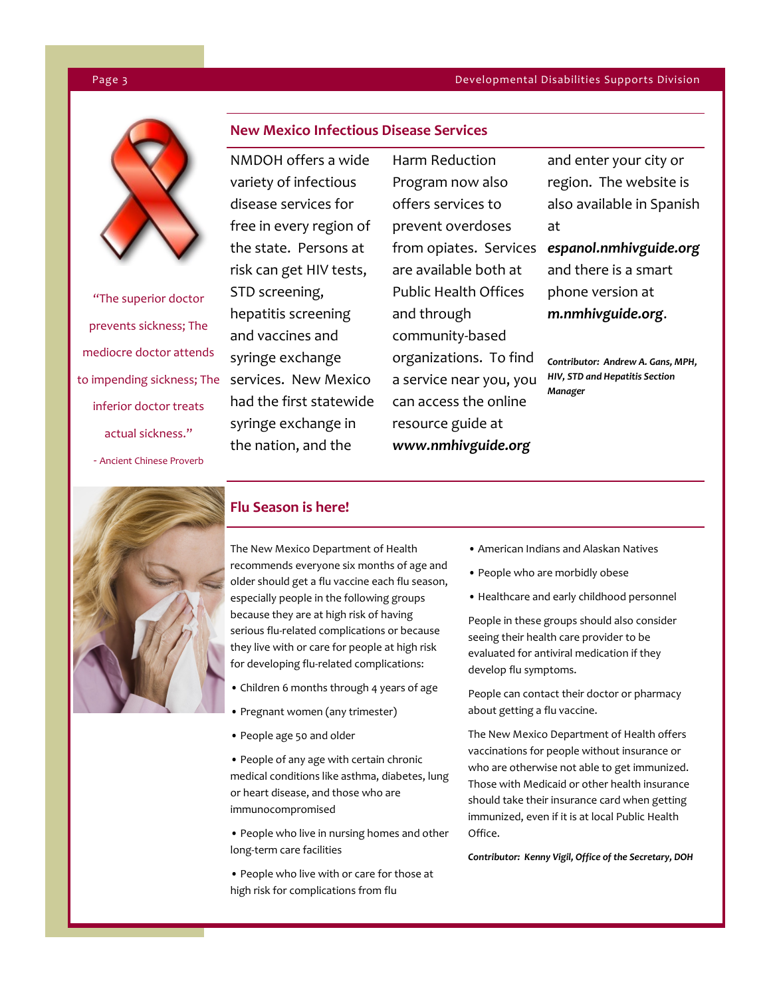### Page 3 Developmental Disabilities Supports Division



"The superior doctor prevents sickness; The mediocre doctor attends inferior doctor treats actual sickness." - Ancient Chinese Proverb

# **New Mexico Infectious Disease Services**

NMDOH offers a wide variety of infectious disease services for free in every region of the state. Persons at risk can get HIV tests, STD screening, hepatitis screening and vaccines and syringe exchange to impending sickness; The services. New Mexico had the first statewide syringe exchange in the nation, and the

Harm Reduction Program now also offers services to prevent overdoses from opiates. Services *espanol.nmhivguide.org*  are available both at Public Health Offices and through community-based organizations. To find a service near you, you can access the online resource guide at *www.nmhivguide.org* 

and enter your city or region. The website is also available in Spanish at

and there is a smart phone version at *m.nmhivguide.org*.

*Contributor: Andrew A. Gans, MPH, HIV, STD and Hepatitis Section Manager*



# **Flu Season is here!**

The New Mexico Department of Health recommends everyone six months of age and older should get a flu vaccine each flu season, especially people in the following groups because they are at high risk of having serious flu-related complications or because they live with or care for people at high risk for developing flu-related complications:

- Children 6 months through 4 years of age
- Pregnant women (any trimester)
- People age 50 and older
- People of any age with certain chronic medical conditions like asthma, diabetes, lung or heart disease, and those who are immunocompromised
- People who live in nursing homes and other long-term care facilities
- People who live with or care for those at high risk for complications from flu
- American Indians and Alaskan Natives
- People who are morbidly obese
- Healthcare and early childhood personnel

People in these groups should also consider seeing their health care provider to be evaluated for antiviral medication if they develop flu symptoms.

People can contact their doctor or pharmacy about getting a flu vaccine.

The New Mexico Department of Health offers vaccinations for people without insurance or who are otherwise not able to get immunized. Those with Medicaid or other health insurance should take their insurance card when getting immunized, even if it is at local Public Health Office.

*Contributor: Kenny Vigil, Office of the Secretary, DOH*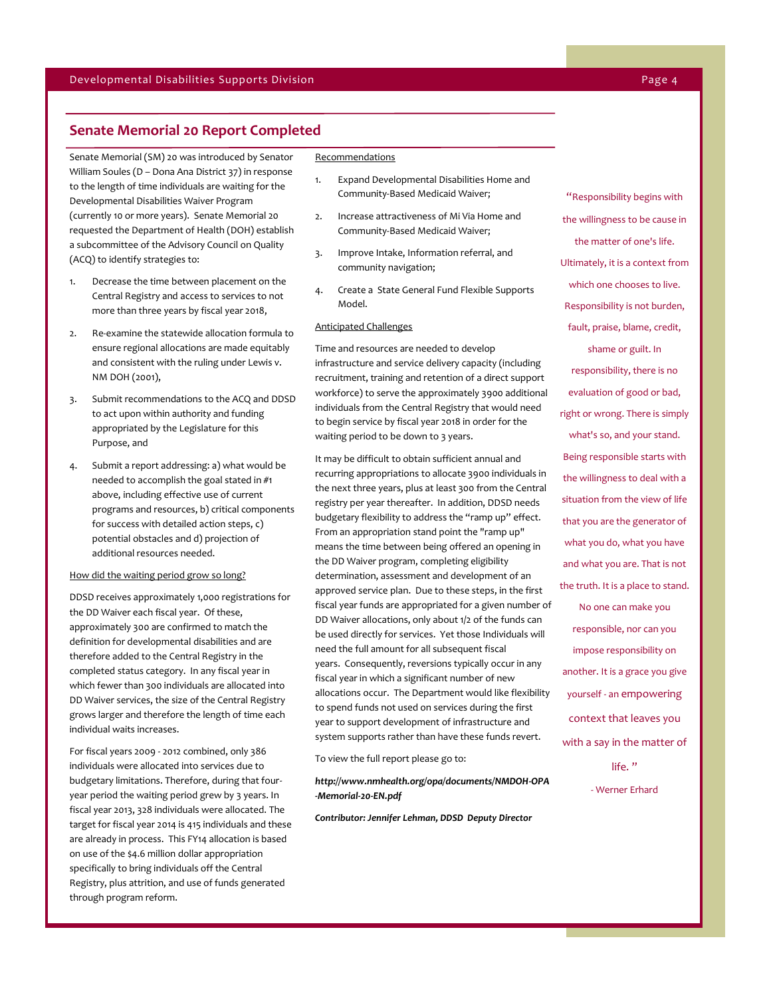# **Senate Memorial 20 Report Completed**

Senate Memorial (SM) 20 was introduced by Senator William Soules (D – Dona Ana District 37) in response to the length of time individuals are waiting for the Developmental Disabilities Waiver Program (currently 10 or more years). Senate Memorial 20 requested the Department of Health (DOH) establish a subcommittee of the Advisory Council on Quality (ACQ) to identify strategies to:

- 1. Decrease the time between placement on the Central Registry and access to services to not more than three years by fiscal year 2018,
- 2. Re-examine the statewide allocation formula to ensure regional allocations are made equitably and consistent with the ruling under Lewis v. NM DOH (2001),
- 3. Submit recommendations to the ACQ and DDSD to act upon within authority and funding appropriated by the Legislature for this Purpose, and
- 4. Submit a report addressing: a) what would be needed to accomplish the goal stated in #1 above, including effective use of current programs and resources, b) critical components for success with detailed action steps, c) potential obstacles and d) projection of additional resources needed.

### How did the waiting period grow so long?

DDSD receives approximately 1,000 registrations for the DD Waiver each fiscal year. Of these, approximately 300 are confirmed to match the definition for developmental disabilities and are therefore added to the Central Registry in the completed status category. In any fiscal year in which fewer than 300 individuals are allocated into DD Waiver services, the size of the Central Registry grows larger and therefore the length of time each individual waits increases.

For fiscal years 2009 - 2012 combined, only 386 individuals were allocated into services due to budgetary limitations. Therefore, during that fouryear period the waiting period grew by 3 years. In fiscal year 2013, 328 individuals were allocated. The target for fiscal year 2014 is 415 individuals and these are already in process. This FY14 allocation is based on use of the \$4.6 million dollar appropriation specifically to bring individuals off the Central Registry, plus attrition, and use of funds generated through program reform.

### **Recommendations**

- 1. Expand Developmental Disabilities Home and Community-Based Medicaid Waiver;
- 2. Increase attractiveness of Mi Via Home and Community-Based Medicaid Waiver;
- 3. Improve Intake, Information referral, and community navigation;
- 4. Create a State General Fund Flexible Supports Model.

# Anticipated Challenges

Time and resources are needed to develop infrastructure and service delivery capacity (including recruitment, training and retention of a direct support workforce) to serve the approximately 3900 additional individuals from the Central Registry that would need to begin service by fiscal year 2018 in order for the waiting period to be down to 3 years.

It may be difficult to obtain sufficient annual and recurring appropriations to allocate 3900 individuals in the next three years, plus at least 300 from the Central registry per year thereafter. In addition, DDSD needs budgetary flexibility to address the "ramp up" effect. From an appropriation stand point the "ramp up" means the time between being offered an opening in the DD Waiver program, completing eligibility determination, assessment and development of an approved service plan. Due to these steps, in the first fiscal year funds are appropriated for a given number of DD Waiver allocations, only about 1/2 of the funds can be used directly for services. Yet those Individuals will need the full amount for all subsequent fiscal years. Consequently, reversions typically occur in any fiscal year in which a significant number of new allocations occur. The Department would like flexibility to spend funds not used on services during the first year to support development of infrastructure and system supports rather than have these funds revert.

To view the full report please go to:

*http://www.nmhealth.org/opa/documents/NMDOH-OPA -Memorial-20-EN.pdf*

*Contributor: Jennifer Lehman, DDSD Deputy Director*

"Responsibility begins with the willingness to be cause in the matter of one's life. Ultimately, it is a context from which one chooses to live. Responsibility is not burden, fault, praise, blame, credit, shame or guilt. In responsibility, there is no evaluation of good or bad, right or wrong. There is simply what's so, and your stand. Being responsible starts with the willingness to deal with a situation from the view of life that you are the generator of what you do, what you have and what you are. That is not the truth. It is a place to stand. No one can make you responsible, nor can you impose responsibility on another. It is a grace you give yourself - an empowering context that leaves you with a say in the matter of

life."

- Werner Erhard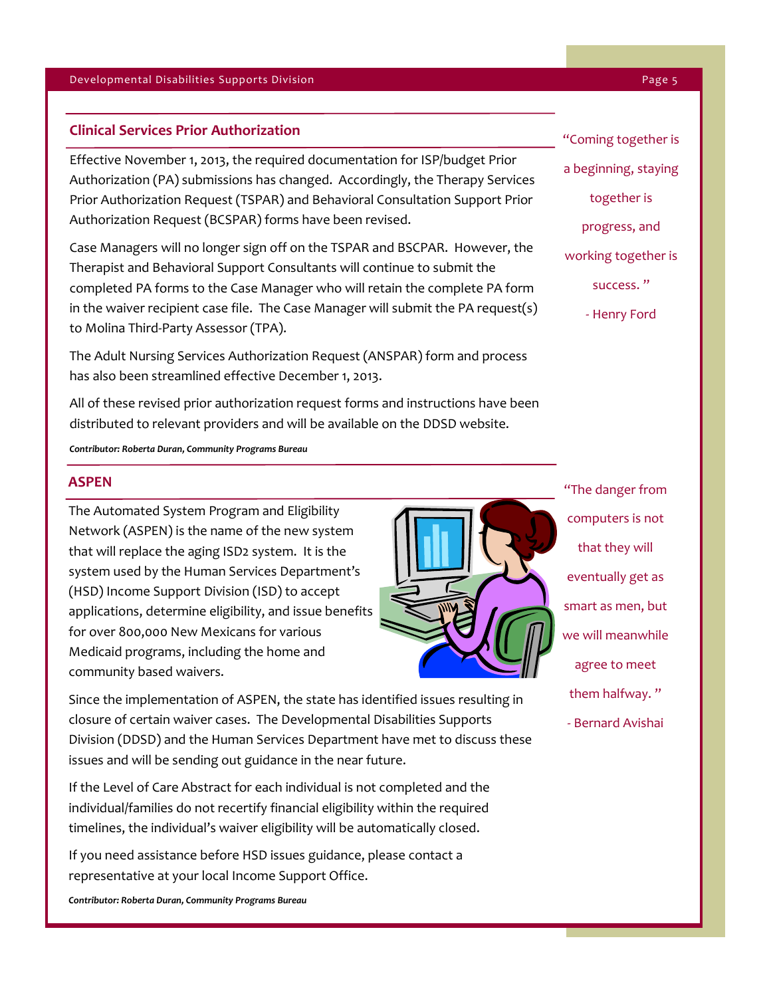# **Clinical Services Prior Authorization**

Effective November 1, 2013, the required documentation for ISP/budget Prior Authorization (PA) submissions has changed. Accordingly, the Therapy Services Prior Authorization Request (TSPAR) and Behavioral Consultation Support Prior Authorization Request (BCSPAR) forms have been revised.

Case Managers will no longer sign off on the TSPAR and BSCPAR. However, the Therapist and Behavioral Support Consultants will continue to submit the completed PA forms to the Case Manager who will retain the complete PA form in the waiver recipient case file. The Case Manager will submit the PA request(s) to Molina Third-Party Assessor (TPA).

The Adult Nursing Services Authorization Request (ANSPAR) form and process has also been streamlined effective December 1, 2013.

All of these revised prior authorization request forms and instructions have been distributed to relevant providers and will be available on the DDSD website.

*Contributor: Roberta Duran, Community Programs Bureau*

# **ASPEN**

The Automated System Program and Eligibility Network (ASPEN) is the name of the new system that will replace the aging ISD2 system. It is the system used by the Human Services Department's (HSD) Income Support Division (ISD) to accept applications, determine eligibility, and issue benefits for over 800,000 New Mexicans for various Medicaid programs, including the home and community based waivers.



"The danger from computers is not that they will eventually get as smart as men, but we will meanwhile agree to meet them halfway. " - Bernard Avishai

Since the implementation of ASPEN, the state has identified issues resulting in closure of certain waiver cases. The Developmental Disabilities Supports Division (DDSD) and the Human Services Department have met to discuss these issues and will be sending out guidance in the near future.

If the Level of Care Abstract for each individual is not completed and the individual/families do not recertify financial eligibility within the required timelines, the individual's waiver eligibility will be automatically closed.

If you need assistance before HSD issues guidance, please contact a representative at your local Income Support Office.

*Contributor: Roberta Duran, Community Programs Bureau*

"Coming together is a beginning, staying together is progress, and working together is success. " - Henry Ford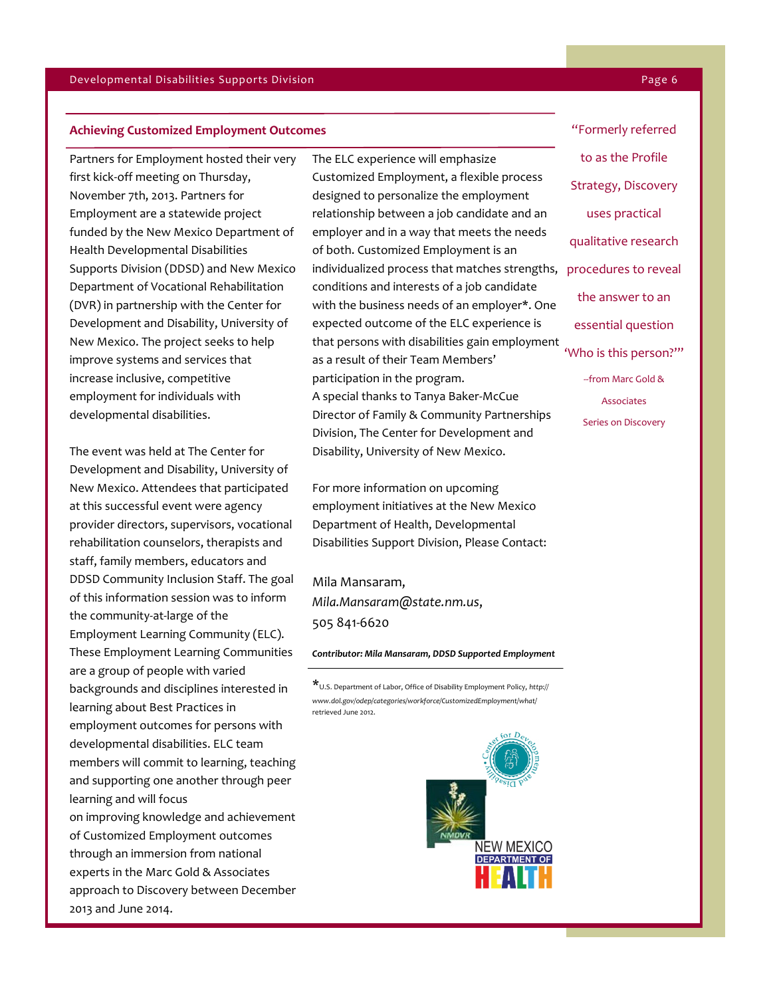### **Achieving Customized Employment Outcomes**

Partners for Employment hosted their very first kick-off meeting on Thursday, November 7th, 2013. Partners for Employment are a statewide project funded by the New Mexico Department of Health Developmental Disabilities Supports Division (DDSD) and New Mexico Department of Vocational Rehabilitation (DVR) in partnership with the Center for Development and Disability, University of New Mexico. The project seeks to help improve systems and services that increase inclusive, competitive employment for individuals with developmental disabilities.

The event was held at The Center for Development and Disability, University of New Mexico. Attendees that participated at this successful event were agency provider directors, supervisors, vocational rehabilitation counselors, therapists and staff, family members, educators and DDSD Community Inclusion Staff. The goal of this information session was to inform the community-at-large of the Employment Learning Community (ELC). These Employment Learning Communities are a group of people with varied backgrounds and disciplines interested in learning about Best Practices in employment outcomes for persons with developmental disabilities. ELC team members will commit to learning, teaching and supporting one another through peer learning and will focus on improving knowledge and achievement of Customized Employment outcomes through an immersion from national experts in the Marc Gold & Associates approach to Discovery between December 2013 and June 2014.

The ELC experience will emphasize Customized Employment, a flexible process designed to personalize the employment relationship between a job candidate and an employer and in a way that meets the needs of both. Customized Employment is an individualized process that matches strengths, procedures to reveal conditions and interests of a job candidate with the business needs of an employer\*. One expected outcome of the ELC experience is that persons with disabilities gain employment as a result of their Team Members' participation in the program. A special thanks to Tanya Baker-McCue Director of Family & Community Partnerships Division, The Center for Development and Disability, University of New Mexico.

For more information on upcoming employment initiatives at the New Mexico Department of Health, Developmental Disabilities Support Division, Please Contact:

Mila Mansaram, *Mila.Mansaram@state.nm.us*, 505 841-6620

### *Contributor: Mila Mansaram, DDSD Supported Employment*

\*U.S. Department of Labor, Office of Disability Employment Policy, *http:// www.dol.gov/odep/categories/workforce/CustomizedEmployment/what/*  retrieved June 2012.



"Formerly referred to as the Profile Strategy, Discovery uses practical qualitative research the answer to an essential question 'Who is this person?'" --from Marc Gold & Associates Series on Discovery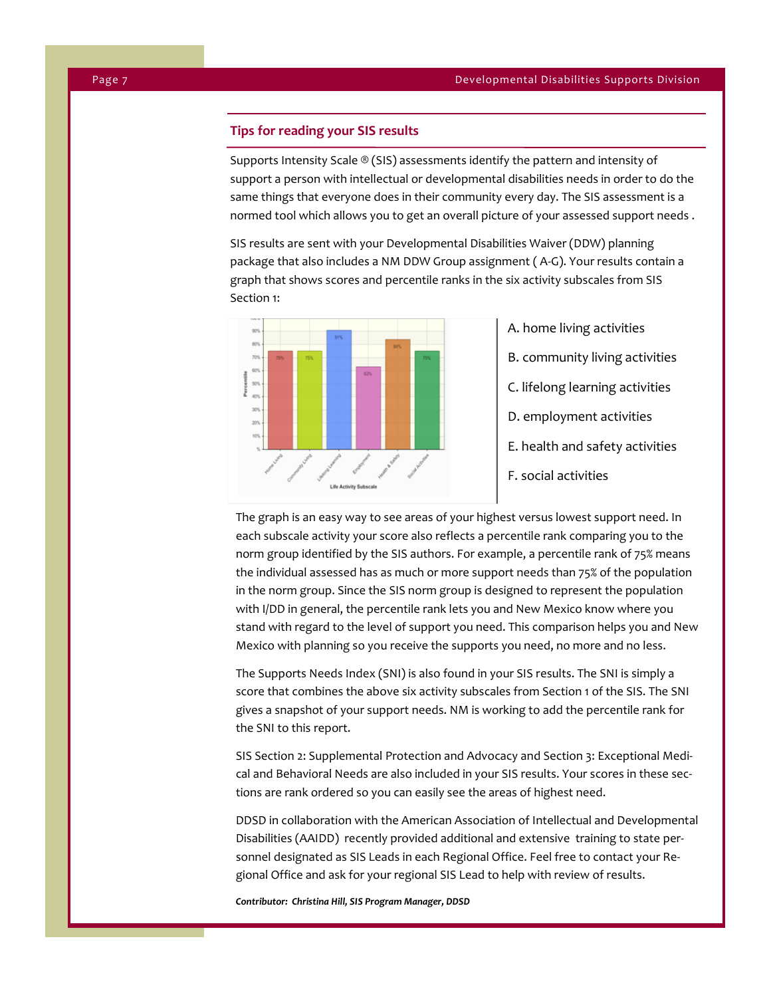# **Tips for reading your SIS results**

Supports Intensity Scale ® (SIS) assessments identify the pattern and intensity of support a person with intellectual or developmental disabilities needs in order to do the same things that everyone does in their community every day. The SIS assessment is a normed tool which allows you to get an overall picture of your assessed support needs .

SIS results are sent with your Developmental Disabilities Waiver (DDW) planning package that also includes a NM DDW Group assignment ( A-G). Your results contain a graph that shows scores and percentile ranks in the six activity subscales from SIS Section 1:



A. home living activities

- B. community living activities
- C. lifelong learning activities
- D. employment activities
- E. health and safety activities
- F. social activities

The graph is an easy way to see areas of your highest versus lowest support need. In each subscale activity your score also reflects a percentile rank comparing you to the norm group identified by the SIS authors. For example, a percentile rank of 75% means the individual assessed has as much or more support needs than 75% of the population in the norm group. Since the SIS norm group is designed to represent the population with I/DD in general, the percentile rank lets you and New Mexico know where you stand with regard to the level of support you need. This comparison helps you and New Mexico with planning so you receive the supports you need, no more and no less.

The Supports Needs Index (SNI) is also found in your SIS results. The SNI is simply a score that combines the above six activity subscales from Section 1 of the SIS. The SNI gives a snapshot of your support needs. NM is working to add the percentile rank for the SNI to this report.

SIS Section 2: Supplemental Protection and Advocacy and Section 3: Exceptional Medical and Behavioral Needs are also included in your SIS results. Your scores in these sections are rank ordered so you can easily see the areas of highest need.

DDSD in collaboration with the American Association of Intellectual and Developmental Disabilities (AAIDD) recently provided additional and extensive training to state personnel designated as SIS Leads in each Regional Office. Feel free to contact your Regional Office and ask for your regional SIS Lead to help with review of results.

*Contributor: Christina Hill, SIS Program Manager, DDSD*